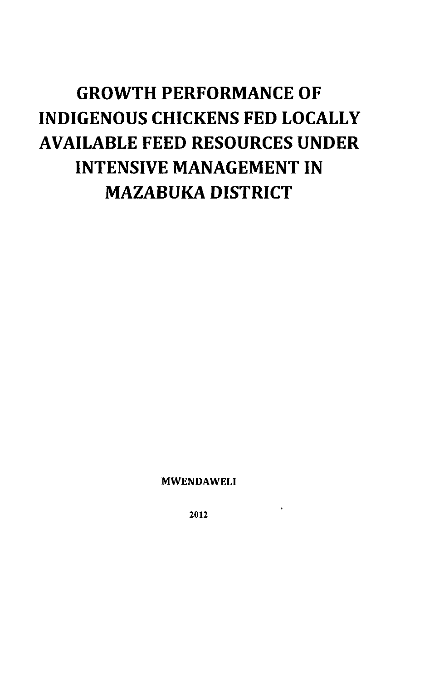# **GROWTH PERFORMANCE OF INDIGENOUS CHICKENS FED LOCALLY AVAILABLE FEED RESOURCES UNDER INTENSIVE MANAGEMENT IN MAZABUKA DISTRICT**

**MWENDAWELI** 

**2012**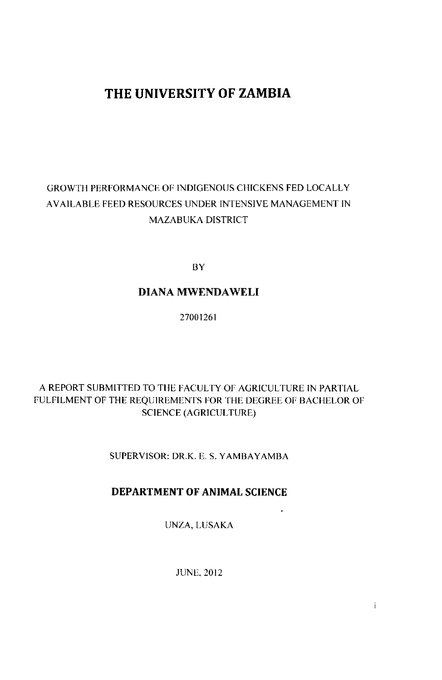# THE UNIVERSITY OF ZAMBIA

# GROWTH PERFORMANCE OF INDIGENOUS CHICKENS FED LOCALLY AVAILABLE FEED RESOURCES UNDER INTENSIVE MANAGEMENT IN MAZABUKA DISTRICT

BY

# **DIANA MWENDAWELI**

27001261

## A REPORT SUBMITTED TO THE FACULTY OF AGRICULTURE IN PARTIAL FULFILMENT OF THE REQUIREMENTS FOR THE DEGREE OF BACHELOR OF SCIENCE (AGRICULTURE)

SUPERVISOR: DR.K. E. S. YAMBAYAMBA

# **DEPARTMENT OF ANIMAL SCIENCE**

UNZA, LUSAKA

 $\ddot{\phantom{0}}$ 

 $\mathbf i$ 

JUNE, 2012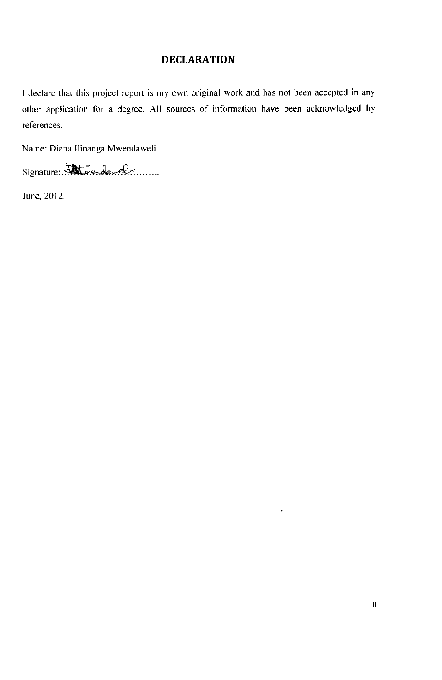# **DECLARATION**

I declare that this project report is my own original work and has not been accepted in any other application for a degree. All sources of information have been acknowledged by references.

Name: Diana Ilinanga Mwendaweli

Signature:. *More de wel* 

June, 2012.

 $\ddot{\phantom{0}}$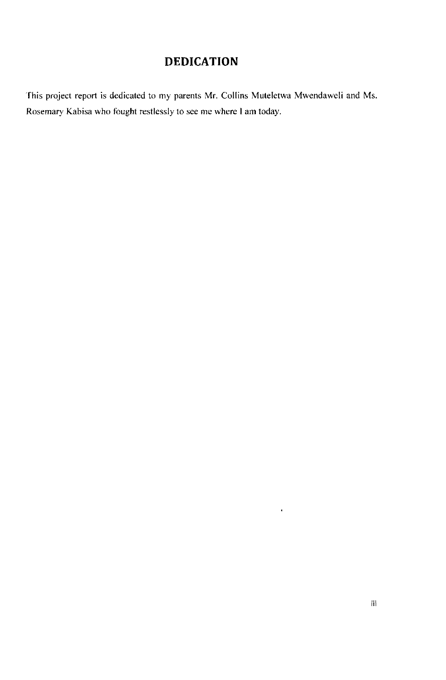# **DEDICATION**

This project report is dedicated to my parents Mr. Collins Muteletwa Mwendaweli and Ms. Rosemary Kabisa who fought restlessly to see me where I am today.

 $\mathbf{v}^{\dagger}$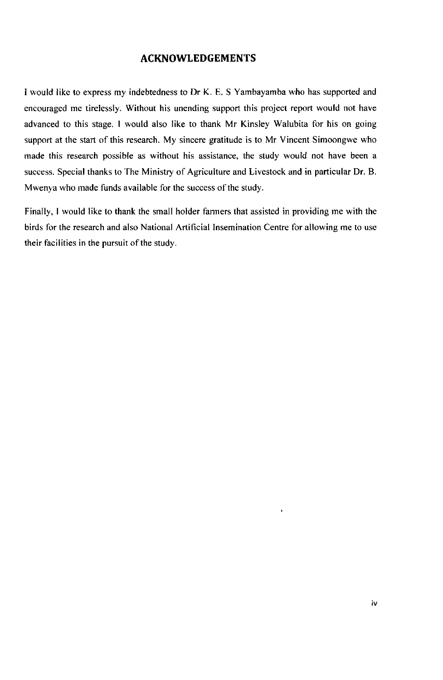### **ACKNOWLEDGEMENTS**

I would like to express my indebtedness to Dr K. E. S Yambayamba who has supported and encouraged me tirelessly. Without his unending support this project report would not have advanced to this stage. I would also like to thank Mr Kinsley Walubita for his on going support at the start of this research. My sincere gratitude is to Mr Vincent Simoongwe who made this research possible as without his assistance, the study would not have been a success. Special thanks to The Ministry of Agriculture and Livestock and in particular Dr. B. Mwenya who made funds available for the success of the study.

Finally, I would like to thank the small holder farmers that assisted in providing me with the birds for the research and also National Artificial Insemination Centre for allowing me to use their facilities in the pursuit of the study.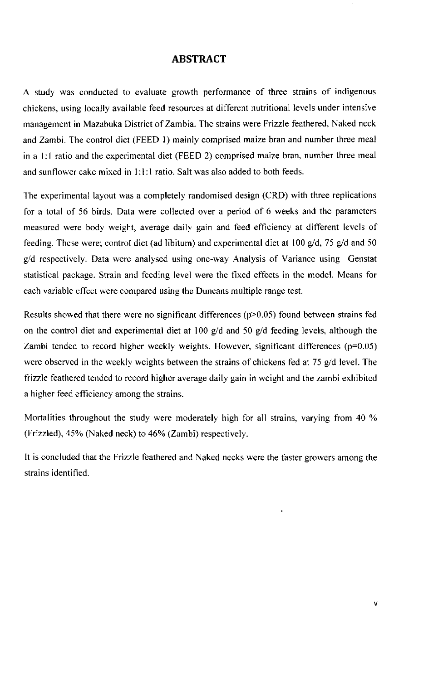#### **ABSTRACT**

A study was conducted to evaluate growth performance of three strains of indigenous chickens, using locally available feed resources at different nutritional levels under intensive management in Mazabuka District of Zambia. The strains were Frizzle feathered. Naked neck and Zambi. The control diet (FEED 1) mainly comprised maize bran and number three meal in a 1:1 ratio and the experimental diet (FEED 2) comprised maize bran, number three meal and sunflower cake mixed in 1:1:1 ratio. Salt was also added to both feeds.

The experimental layout was a completely randomised design (CRD) with three replications for a total of 56 birds. Data were collected over a period of 6 weeks and the parameters measured were body weight, average daily gain and feed efficiency at different levels of feeding. These were; control diet (ad libitum) and experimental diet at 100  $g/d$ , 75  $g/d$  and 50 g/d respectively. Data were analysed using one-way Analysis of Variance using Genstat statistical package. Strain and feeding level were the fixed effects in the model. Means for each variable effect were compared using the Duncans multiple range test.

Results showed that there were no significant differences ( $p$  $>$ 0.05) found between strains fed on the control diet and experimental diet at 100  $g/d$  and 50  $g/d$  feeding levels, although the Zambi tended to record higher weekly weights. However, significant differences  $(p=0.05)$ were observed in the weekly weights between the strains of chickens fed at 75 g/d level. The frizzle feathered tended to record higher average daily gain in weight and the zambi exhibited a higher feed efficiency among the strains.

Mortalities throughout the study were moderately high for all strains, varying from 40 % (Frizzled), 45% (Naked neck) to 46% (Zambi) respectively.

It is concluded that the Frizzle feathered and Naked necks were the faster growers among the strains identified.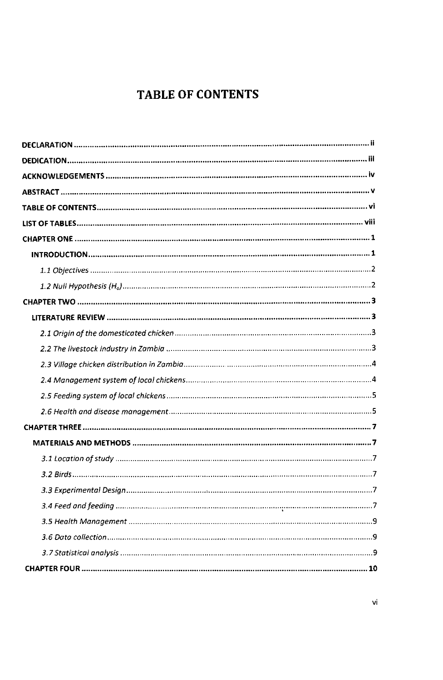# **TABLE OF CONTENTS**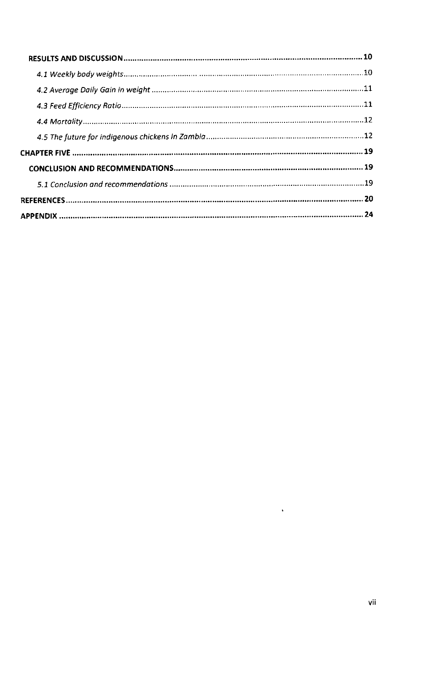$\bar{\mathcal{E}}$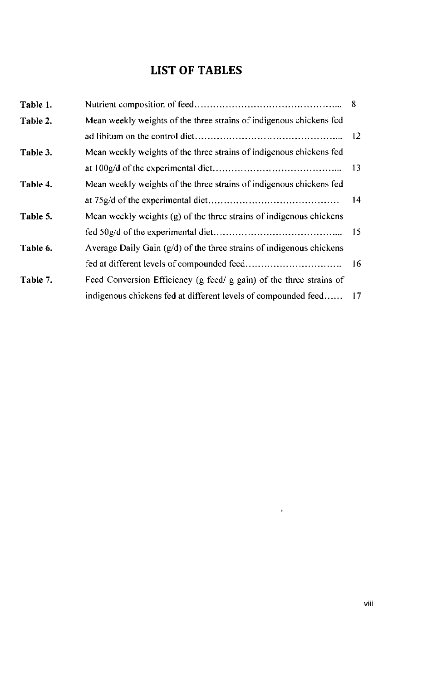# **LIST OF TABLES**

| Table 1. |                                                                        | -8          |
|----------|------------------------------------------------------------------------|-------------|
| Table 2. | Mean weekly weights of the three strains of indigenous chickens fed    |             |
|          |                                                                        | $\sqrt{12}$ |
| Table 3. | Mean weekly weights of the three strains of indigenous chickens fed    |             |
|          |                                                                        |             |
| Table 4. | Mean weekly weights of the three strains of indigenous chickens fed    |             |
|          |                                                                        | -14         |
| Table 5. | Mean weekly weights $(g)$ of the three strains of indigenous chickens  |             |
|          |                                                                        |             |
| Table 6. | Average Daily Gain $(g/d)$ of the three strains of indigenous chickens |             |
|          |                                                                        |             |
| Table 7. | Feed Conversion Efficiency (g feed/ g gain) of the three strains of    |             |
|          | indigenous chickens fed at different levels of compounded feed 17      |             |

 $\sim 10^{-11}$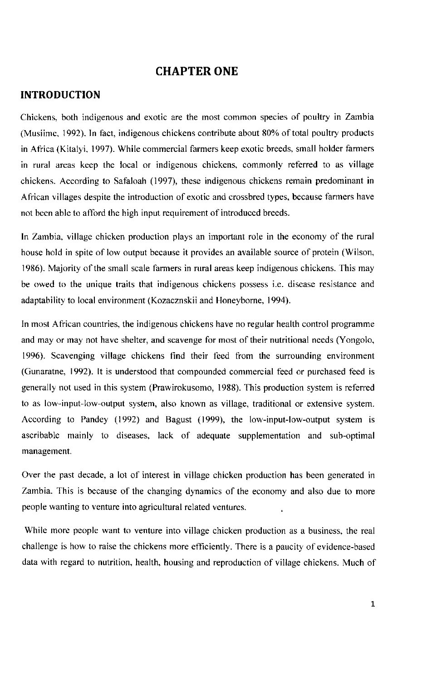### **CHAPTER ONE**

#### **INTRODUCTION**

Chickens, both indigenous and exotic are the most common species of poultry in Zambia (Musiime, 1992). In fact, indigenous chickens contribute about 80% of total poultry products in Africa (Kitalyi, 1997). While commercial farmers keep exotic breeds, small holder farmers in rural areas keep the local or indigenous chickens, commonly referred to as village chickens. According to Safaloah (1997), these indigenous chickens remain predominant in African villages despite the introduction of exotic and crossbred types, because farmers have not been able to afford the high input requirement of introduced breeds.

In Zambia, village chicken production plays an important role in the economy of the rural house hold in spite of low output because it provides an available source of protein (Wilson, 1986). Majority of the small scale farmers in rural areas keep indigenous chickens. This may be owed to the unique traits that indigenous chickens possess i.e. disease resistance and adaptability to local environment (Kozacznskii and Honeyborne, 1994).

In most African countries, the indigenous chickens have no regular health control programme and may or may not have shelter, and scavenge for most of their nutritional needs (Yongolo, 1996). Scavenging village chickens find their feed from the surrounding environment (Gunaratne, 1992). It is understood that compounded commercial feed or purchased feed is generally not used in this system (Prawirokusomo, 1988). This production system is referred to as low-input-low-output system, also known as village, traditional or extensive system. According to Pandey (1992) and Bagust (1999), the low-input-low-output system is ascribable mainly to diseases, lack of adequate supplementation and sub-optimal management.

Over the past decade, a lot of interest in village chicken production has been generated in Zambia. This is because of the changing dynamics of the economy and also due to more people wanting to venture into agricultural related ventures.

While more people want to venture into village chicken production as a business, the real challenge is how to raise the chickens more efficiently. There is a paucity of evidence-based data with regard to nutrition, health, housing and reproduction of village chickens. Much of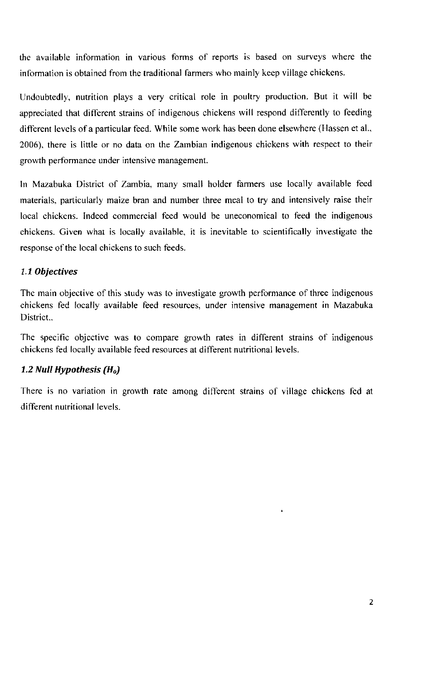the available information in various forms of reports is based on surveys where the information is obtained from the traditional farmers who mainly keep village chickens.

Undoubtedly, nutrition plays a very critical role in poultry production. But it will be appreciated that different strains of indigenous chickens will respond differently to feeding different levels of a particular feed. While some work has been done elsewhere (Hassen et al., 2006), there is little or no data on the Zambian indigenous chickens with respect to their growth performance under intensive management.

In Mazabuka District of Zambia, many small holder farmers use locally available feed materials, particularly maize bran and number three meal to try and intensively raise their local chickens. Indeed commercial feed would be uneconomical to feed the indigenous chickens. Given what is locally available, it is inevitable to scientifically investigate the response of the local chickens to such feeds.

#### *1.1 Objectives*

The main objective of this study was to investigate growth performance of three indigenous chickens fed locally available feed resources, under intensive management in Mazabuka District...

The specific objective was to compare growth rates in different strains of indigenous chickens fed locally available feed resources at different nutritional levels.

### *1.2 Null Hypothesis (Ho)*

There is no variation in growth rate among different strains of village chickens fed at different nutritional levels.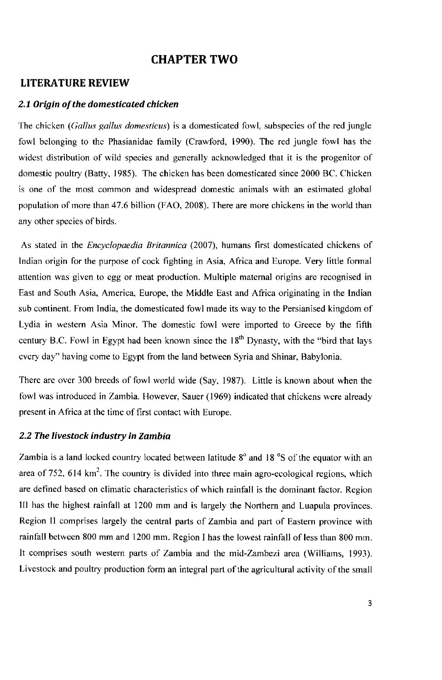### **CHAPTER TWO**

#### **LITERATURE REVIEW**

#### *2.1 Origin of the domesticated chicken*

The chicken *(Gallus gallus domesticus)* is a domesticated fowl, subspecies of the red jungle fowl belonging to the Phasianidae family (Crawford, 1990). The red jungle fowl has the widest distribution of wild species and generally acknowledged that it is the progenitor of domestic poultry (Batty, 1985). The chicken has been domesticated since 2000 BC. Chicken is one of the most common and widespread domestic animals with an estimated global population of more than 47.6 billion (FAO, 2008). There are more chickens in the world than any other species of birds.

As stated in the *Encyclopaedia Britannica* (2007), humans first domesticated chickens of Indian origin for the purpose of cock fighting in Asia, Africa and Europe. Very little formal attention was given to egg or meat production. Multiple maternal origins are recognised in East and South Asia, America, Europe, the Middle East and Africa originating in the Indian sub continent. From India, the domesticated fowl made its way to the Persianised kingdom of Lydia in western Asia Minor. The domestic fowl were imported to Greece by the fifth century B.C. Fowl in Egypt had been known since the  $18<sup>th</sup>$  Dynasty, with the "bird that lays every day" having come to Egypt from the land between Syria and Shinar, Babylonia.

There are over 300 breeds of fowl world wide (Say, 1987). Little is known about when the fowl was introduced in Zambia. However, Sauer (1969) indicated that chickens were already present in Africa at the time of first contact with Europe.

#### *2.2 The livestock industry in Zambia*

Zambia is a land locked country located between latitude  $8^\circ$  and 18  $\degree$ S of the equator with an area of 752, 614  $km^2$ . The country is divided into three main agro-ecological regions, which are defined based on climatic characteristics of which rainfall is the dominant factor. Region III has the highest rainfall at 1200 mm and is largely the Northern and Luapula provinces. Region II comprises largely the central parts of Zambia and part of Eastern province with rainfall between 800 mm and 1200 mm. Region I has the lowest rainfall of less than 800 mm. It comprises south western parts of Zambia and the mid-Zambezi area (Williams, 1993). Livestock and poultry production form an integral part of the agricultural activity of the small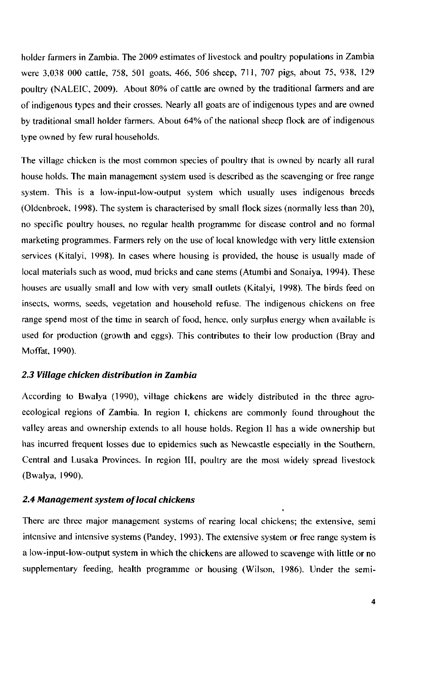holder farmers in Zambia. The 2009 estimates of livestock and poultry populations in Zambia were 3,038 000 cattle, 758, 501 goats, 466, 506 sheep, 711, 707 pigs, about 75, 938, 129 poultry (NALEIC, 2009). About 80% of cattle are owned by the traditional farmers and are of indigenous types and their crosses. Nearly all goats are of indigenous types and are owned by traditional small holder farmers. About 64% of the national sheep flock are of indigenous type owned by few rural households.

The village chicken is the most common species of poultry that is owned by nearly all rural house holds. The main management system used is described as the scavenging or free range system. This is a low-input-low-output system which usually uses indigenous breeds (Oldenbroek, 1998). The system is characterised by small flock sizes (normally less than 20), no specific poultry houses, no regular health programme for disease control and no formal marketing programmes. Farmers rely on the use of local knowledge with very little extension services (Kitalyi, 1998). In cases where housing is provided, the house is usually made of local materials such as wood, mud bricks and cane stems (Atumbi and Sonaiya, 1994). These houses are usually small and low with very small outlets (Kitalyi, 1998). The birds feed on insects, worms, seeds, vegetation and household refuse. The indigenous chickens on free range spend most of the time in search of food, hence, only surplus energy when available is used for production (growth and eggs). This contributes to their low production (Bray and Moffat, 1990).

#### *2.3 Village chicken distribution in Zambia*

According to Bwalya (1990), village chickens are widely distributed in the three agroecological regions of Zambia. In region I, chickens are commonly found throughout the valley areas and ownership extends to all house holds. Region II has a wide ownership but has incurred frequent losses due to epidemics such as Newcastle especially in the Southern, Central and Lusaka Provinces. In region III, poultry are the most widely spread livestock (Bwalya, 1990).

#### *2.4 Management system of local chickens*

There are three major management systems of rearing local chickens; the extensive, semi intensive and intensive systems (Pandey, 1993). The extensive system or free range system is a low-input-low-output system in which the chickens are allowed to scavenge with little or no supplementary feeding, health programme or housing (Wilson, 1986). Under the semi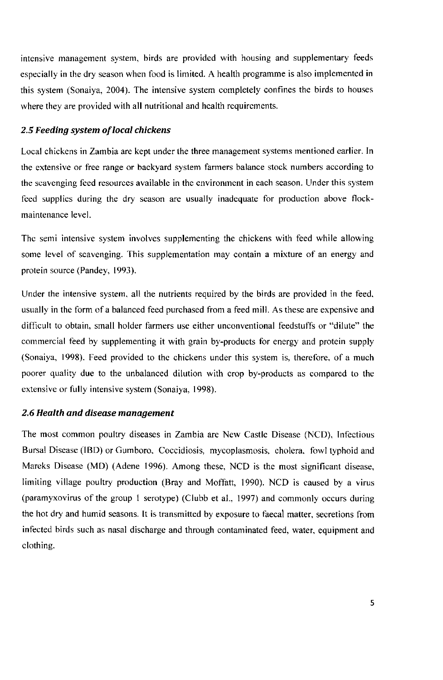intensive management system, birds are provided with housing and supplementary feeds especially in the dry season when food is limited. A health programme is also implemented in this system (Sonaiya, 2004). The intensive system completely confines the birds to houses where they are provided with all nutritional and health requirements.

#### 2.5 *Feeding system of local chickens*

Local chickens in Zambia are kept under the three management systems mentioned earlier. In the extensive or free range or backyard system farmers balance stock numbers according to the scavenging feed resources available in the environment in each season. Under this system feed supplies during the dry season are usually inadequate for production above flockmaintenance level.

The semi intensive system involves supplementing the chickens with feed while allowing some level of scavenging. This supplementation may contain a mixture of an energy and protein source (Pandey, 1993).

Under the intensive system, all the nutrients required by the birds are provided in the feed, usually in the form of a balanced feed purchased from a feed mill. As these are expensive and difficult to obtain, small holder farmers use either unconventional feedstuffs or "dilute" the commercial feed by supplementing it with grain by-products for energy and protein supply (Sonaiya, 1998). Feed provided to the chickens under this system is, therefore, of a much poorer quality due to the unbalanced dilution with crop by-products as compared to the extensive or fully intensive system (Sonaiya, 1998).

#### 2.6 *Health and disease management*

The most common poultry diseases in Zambia are New Castle Disease (NCD), Infectious Bursal Disease (IBD) or Gumboro, Coccidiosis, mycoplasmosis, cholera, fowl typhoid and Mareks Disease (MD) (Adene 1996). Among these, NCD is the most significant disease, limiting village poultry production (Bray and Moffatt, 1990). NCD is caused by a virus (paramyxovirus of the group 1 serotype) (Clubb et al., 1997) and commonly occurs during the hot dry and humid seasons. It is transmitted by exposure to faecal matter, secretions from infected birds such as nasal discharge and through contaminated feed, water, equipment and clothing.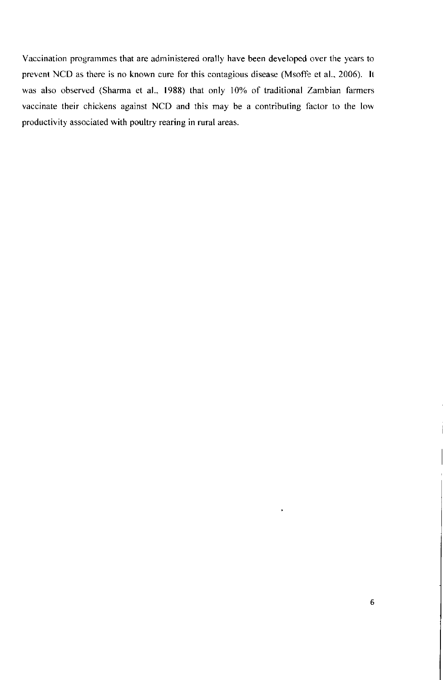Vaccination programmes that are administered orally have been developed over the years to prevent NCD as there is no known cure for this contagious disease (Msoffe et al., 2006). It was also observed (Sharma et al., 1988) that only 10% of traditional Zambian farmers vaccinate their chickens against NCD and this may be a contributing factor to the low productivity associated with poultry rearing in rural areas.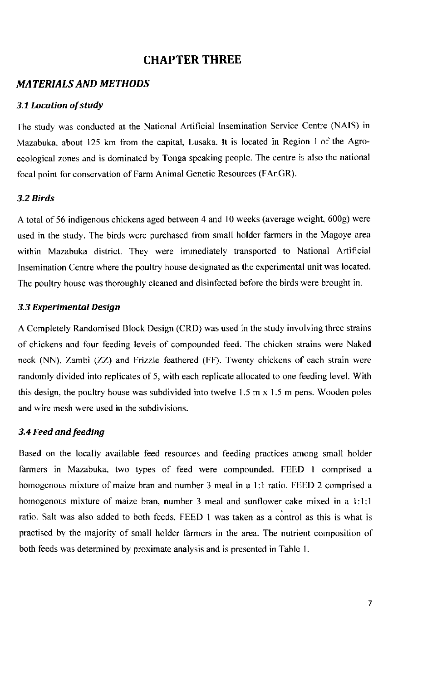### **CHAPTER THREE**

#### *MATERIALS AND METHODS*

#### *3.1 Location of study*

The study was conducted at the National Artificial Insemination Service Centre (NAIS) in Mazabuka, about 125 km from the capital, Lusaka. It is located in Region I of the Agroecological zones and is dominated by Tonga speaking people. The centre is also the national focal point for conservation of Farm Animal Genetic Resources (FAnGR).

#### *3.2 Birds*

A total of 56 indigenous chickens aged between 4 and 10 weeks (average weight, 600g) were used in the study. The birds were purchased from small holder farmers in the Magoye area within Mazabuka district. They were immediately transported to National Artificial Insemination Centre where the poultry house designated as the experimental unit was located. The poultry house was thoroughly cleaned and disinfected before the birds were brought in.

#### *3.3 Experimental Design*

A Completely Randomised Block Design (CRD) was used in the study involving three strains of chickens and four feeding levels of compounded feed. The chicken strains were Naked neck (NN), Zambi (ZZ) and Frizzle feathered (FF). Twenty chickens of each strain were randomly divided into replicates of 5, with each replicate allocated to one feeding level. With this design, the poultry house was subdivided into twelve 1.5 m  $\times$  1.5 m pens. Wooden poles and wire mesh were used in the subdivisions.

#### *3.4 Feed and feeding*

Based on the locally available feed resources and feeding practices among small holder farmers in Mazabuka, two types of feed were compounded. FEED 1 comprised a homogenous mixture of maize bran and number 3 meal in a 1:1 ratio. FEED 2 comprised a homogenous mixture of maize bran, number 3 meal and sunflower cake mixed in a 1:1:1 ratio. Salt was also added to both feeds. FEED 1 was taken as a control as this is what is practised by the majority of small holder farmers in the area. The nutrient composition of both feeds was determined by proximate analysis and is presented in Table 1.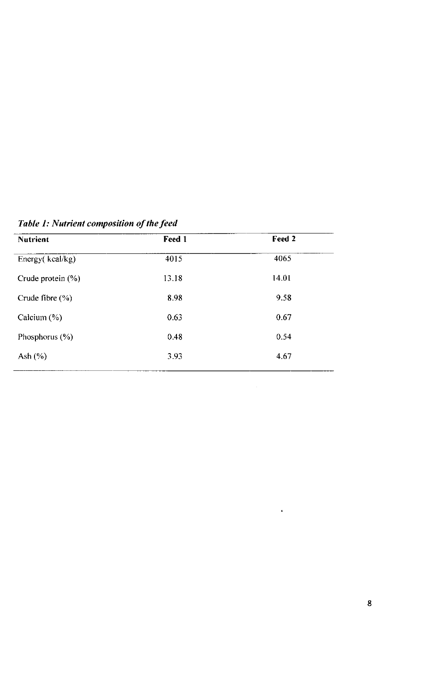| <b>Nutrient</b>       | Feed 1 | Feed 2 |
|-----------------------|--------|--------|
| Energy(kcal/kg)       | 4015   | 4065   |
| Crude protein $(\% )$ | 13.18  | 14.01  |
| Crude fibre $(\% )$   | 8.98   | 9.58   |
| Calcium $(\%)$        | 0.63   | 0.67   |
| Phosphorus $(\%)$     | 0.48   | 0.54   |
| Ash $(\%)$            | 3.93   | 4.67   |

*Table 1: Nutrient composition of the feed* 

 $\ddot{\phantom{0}}$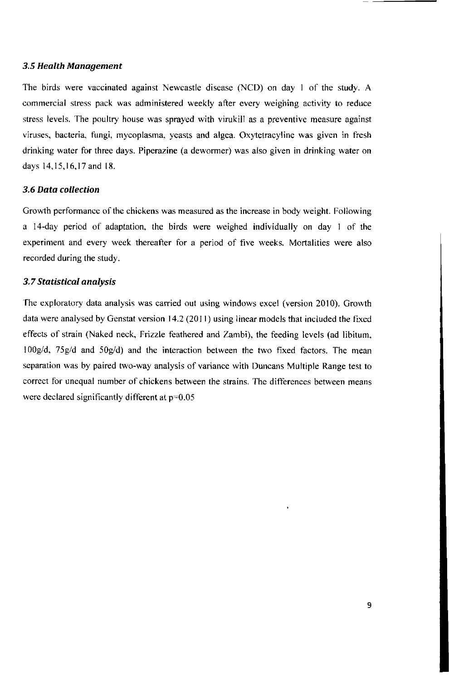#### *3.5 Health Management*

The birds were vaccinated against Newcastle disease (NCD) on day 1 of the study. A commercial stress pack was administered weekly after every weighing activity to reduce stress levels. The poultry house was sprayed with virukill as a preventive measure against viruses, bacteria, fungi, mycoplasma, yeasts and algea. Oxytetracyline was given in fresh drinking water for three days. Piperazine (a dewormer) was also given in drinking water on days 14,15,16,17 and 18.

#### *3.6 Data collection*

Growth performance of the chickens was measured as the increase in body weight. Following a 14-day period of adaptation, the birds were weighed individually on day 1 of the experiment and every week thereafter for a period of five weeks. Mortalities were also recorded during the study.

#### *3.7Statistical analysis*

The exploratory data analysis was carried out using windows excel (version 2010). Growth data were analysed by Genstat version 14.2 (2011) using linear models that included the fixed effects of strain (Naked neck. Frizzle feathered and Zambi), the feeding levels (ad libitum, lOOg/d, 75g/d and 50g/d) and the interaction between the two fixed factors. The mean separation was by paired two-way analysis of variance with Duncans Multiple Range test to correct for unequal number of chickens between the strains. The differences between means were declared significantly different at  $p=0.05$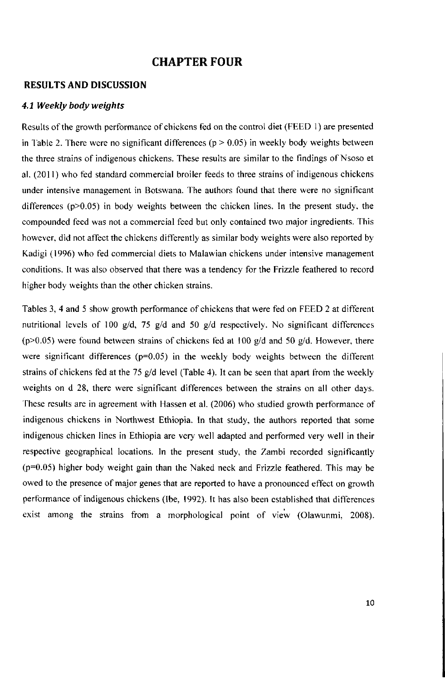### **CHAPTER FOUR**

#### **RESULTS AND DISCUSSION**

#### *4.1 Weekly body weights*

Results of the growth performance of chickens fed on the control diet (FEED 1) are presented in Table 2. There were no significant differences ( $p > 0.05$ ) in weekly body weights between the three strains of indigenous chickens. These results are similar to the findings of Nsoso et al. (2011) who fed standard commercial broiler feeds to three strains of indigenous chickens under intensive management in Botswana. The authors found that there were no significant differences (p>0.05) in body weights between the chicken lines. In the present study, the compounded feed was not a commercial feed but only contained two major ingredients. This however, did not affect the chickens differently as similar body weights were also reported by Kadigi (1996) who fed commercial diets to Malawian chickens under intensive management conditions. It was also observed that there was a tendency for the Frizzle feathered to record higher body weights than the other chicken strains.

Tables 3, 4 and 5 show growth performance of chickens that were fed on FEED 2 at different nutritional levels of 100 g/d, 75 g/d and 50 g/d respectively. No significant differences ( $p$  $>$ 0.05) were found between strains of chickens fed at 100 g/d and 50 g/d. However, there were significant differences  $(p=0.05)$  in the weekly body weights between the different strains of chickens fed at the 75 g/d level (Table 4). It can be seen that apart from the weekly weights on d 28, there were significant differences between the strains on all other days. These results are in agreement with Hassen et al. (2006) who studied growth performance of indigenous chickens in Northwest Ethiopia. In that study, the authors reported that some indigenous chicken lines in Ethiopia are very well adapted and performed very well in their respective geographical locations. In the present study, the Zambi recorded significantly (p=0.05) higher body weight gain than the Naked neck and Frizzle feathered. This may be owed to the presence of major genes that are reported to have a pronounced effect on growth performance of indigenous chickens (Ibe, 1992). It has also been established that differences exist among the strains from a morphological point of view (Olawunmi, 2008).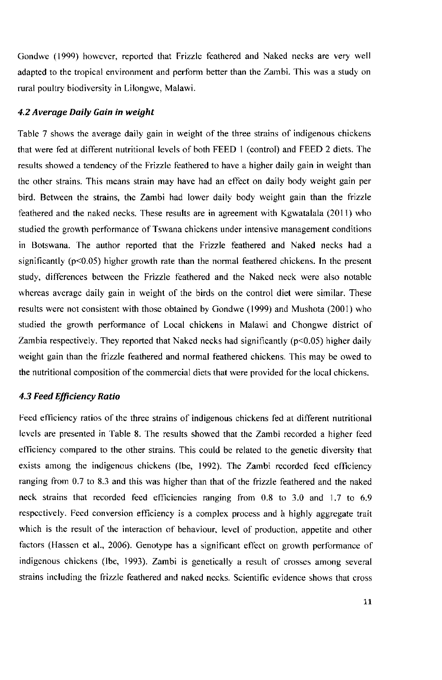Gondwe (1999) however, reported that Frizzle feathered and Naked necks are very well adapted to the tropical environment and perform better than the Zambi. This was a study on rural poultry biodiversity in Lilongwe, Malawi.

#### *4.2 Average Daily Gain in weight*

Table 7 shows the average daily gain in weight of the three strains of indigenous chickens that were fed at different nutritional levels of both FEED 1 (control) and FEED 2 diets. The results showed a tendency of the Frizzle feathered to have a higher daily gain in weight than the other strains. This means strain may have had an effect on daily body weight gain per bird. Between the strains, the Zambi had lower daily body weight gain than the frizzle feathered and the naked necks. These results are in agreement with Kgwatalala (2011) who studied the growth performance of Tswana chickens under intensive management conditions in Botswana. The author reported that the Frizzle feathered and Naked necks had a significantly  $(p<0.05)$  higher growth rate than the normal feathered chickens. In the present study, differences between the Frizzle feathered and the Naked neck were also notable whereas average daily gain in weight of the birds on the control diet were similar. These results were not consistent with those obtained by Gondwe (1999) and Mushota (2001) who studied the growth performance of Local chickens in Malawi and Chongwe district of Zambia respectively. They reported that Naked necks had significantly (p<0.05) higher daily weight gain than the frizzle feathered and normal feathered chickens. This may be owed to the nutritional composition of the commercial diets that were provided for the local chickens.

#### *4.3 Feed Efficiency Ratio*

Feed efficiency ratios of the three strains of indigenous chickens fed at different nutritional levels are presented in Table 8. The results showed that the Zambi recorded a higher feed efficiency compared to the other strains. This could be related to the genetic diversity that exists among the indigenous chickens (Ibe, 1992). The Zambi recorded feed efficiency ranging from 0.7 to 8.3 and this was higher than that of the frizzle feathered and the naked neck strains that recorded feed efficiencies ranging from 0.8 to 3.0 and 1.7 to 6.9 respectively. Feed conversion efficiency is a complex process and a highly aggregate trait which is the result of the interaction of behaviour, level of production, appetite and other factors (Hassen et al., 2006). Genotype has a significant effect on growth performance of indigenous chickens (Ibe, 1993). Zambi is genetically a result of crosses among several strains including the frizzle feathered and naked necks. Scientific evidence shows that cross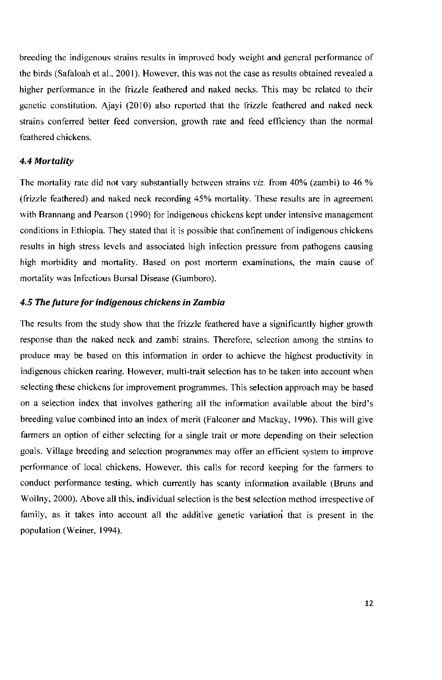breeding the indigenous strains results in improved body weight and general performance of the birds (Safaloah et al., 2001). However, this was not the case as results obtained revealed a higher performance in the frizzle feathered and naked necks. This may be related to their genetic constitution. Ajayi (2010) also reported that the frizzle feathered and naked neck strains conferred better feed conversion, growth rate and feed efficiency than the normal feathered chickens.

#### *4.4 Mortality*

The mortality rate did not vary substantially between strains *viz.* from 40% (zambi) to 46 % (frizzle feathered) and naked neck recording 45% mortality. These results are in agreement with Brannang and Pearson (1990) for indigenous chickens kept under intensive management conditions in Ethiopia. They stated that it is possible that confinement of indigenous chickens results in high stress levels and associated high infection pressure from pathogens causing high morbidity and mortality. Based on post morterm examinations, the main cause of mortality was Infectious Bursal Disease (Gumboro).

#### *4.5 The future for indigenous chickens in Zambia*

The results from the study show that the frizzle feathered have a significantly higher growth response than the naked neck and zambi strains. Therefore, selection among the strains to produce may be based on this information in order to achieve the highest productivity in indigenous chicken rearing. However, multi-trait selection has to be taken into account when selecting these chickens for improvement programmes. This selection approach may be based on a selection index that involves gathering all the information available about the bird's breeding value combined into an index of merit (Falconer and Mackay, 1996). This will give farmers an option of either selecting for a single trait or more depending on their selection goals. Village breeding and selection programmes may offer an efficient system to improve performance of local chickens. However, this calls for record keeping for the farmers to conduct performance testing, which currently has scanty information available (Bruns and Wollny, 2000). Above all this, individual selection is the best selection method irrespective of family, as it takes into account all the additive genetic variation that is present in the population (Weiner, 1994).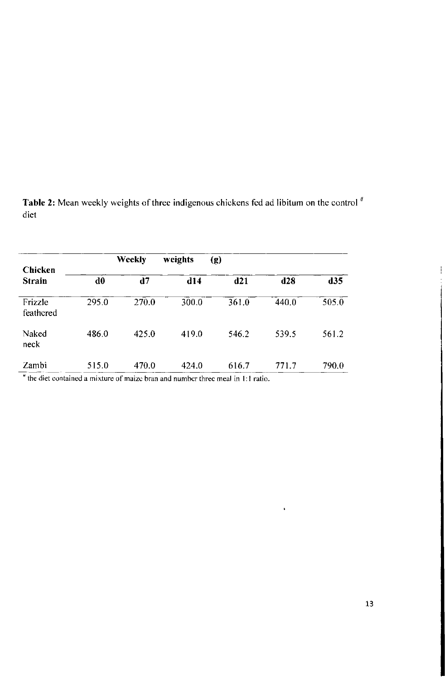Table 2: Mean weekly weights of three indigenous chickens fed ad libitum on the control  $^*$ diet

| Chicken                           |       | Weekly | weights | (g)   |       |       |
|-----------------------------------|-------|--------|---------|-------|-------|-------|
| <b>Strain</b>                     | d0    | d7     | d14     | d21   | $d28$ | d35   |
| Frizzle<br>feathcred              | 295.0 | 270.0  | 300.0   | 361.0 | 440.0 | 505.0 |
| Naked<br>neck                     | 486.0 | 425.0  | 419.0   | 546.2 | 539.5 | 561.2 |
| Zambi<br><b>ARCHITECT COMPANY</b> | 515.0 | 470.0  | 424.0   | 616.7 | 771.7 | 790.0 |

<sup>*\**</sup> the diet contained a mixture of maize bran and number three meal in 1:1 ratio.

 $\ddot{\phantom{0}}$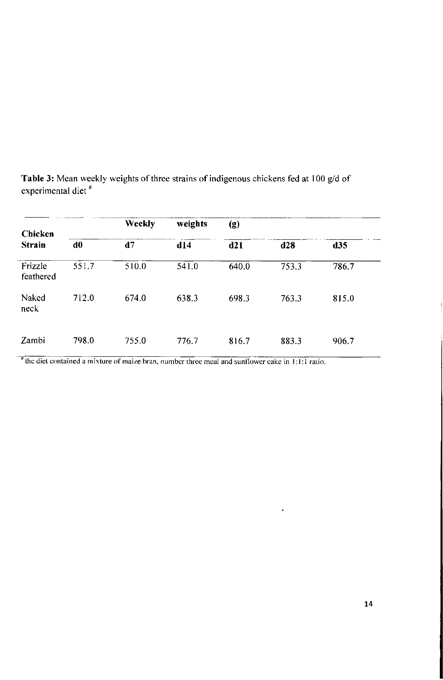| Chicken              |       | <b>Weekly</b> | weights | $\left( \mathbf{g} \right)$ |       |       |  |
|----------------------|-------|---------------|---------|-----------------------------|-------|-------|--|
| <b>Strain</b>        | d0    | d7            | d14     | d21                         | d28   | d35   |  |
| Frizzle<br>feathered | 551.7 | 510.0         | 541.0   | 640.0                       | 753.3 | 786.7 |  |
| Naked<br>neck        | 712.0 | 674.0         | 638.3   | 698.3                       | 763.3 | 815.0 |  |
| Zambi                | 798.0 | 755.0         | 776.7   | 816.7                       | 883.3 | 906.7 |  |

**Table 3:** Mean weekly weights of three strains of indigenous chickens fed at 100 g/d of experimental diet<sup>"</sup>

<sup>#</sup> the diet contained a mixture of maize bran, number three meal and sunflower cake in 1:1:1 ratio.

 $\ddot{\phantom{a}}$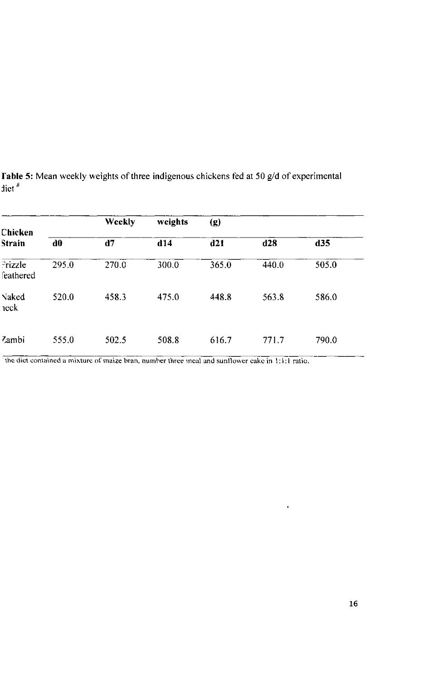| Chicken              |       | <b>Weekly</b> | weights | (g)   |       |       |  |
|----------------------|-------|---------------|---------|-------|-------|-------|--|
| <b>Strain</b>        | d0    | d7            | d14     | d21   | d28   | d35   |  |
| Prizzle<br>feathered | 295.0 | 270.0         | 300.0   | 365.0 | 440.0 | 505.0 |  |
| Naked<br>$\n $ reck  | 520.0 | 458.3         | 475.0   | 448.8 | 563.8 | 586.0 |  |
| Zambi                | 555.0 | 502.5         | 508.8   | 616.7 | 771.7 | 790.0 |  |

**Fable 5:** Mean weekly weights of three indigenous chickens fed at 50 g/d of experimental diet <sup>\*</sup>

the diet contained a mixture of maize bran, number three meal and sunflower cake in 1:1:1 ratio.

 $\bullet$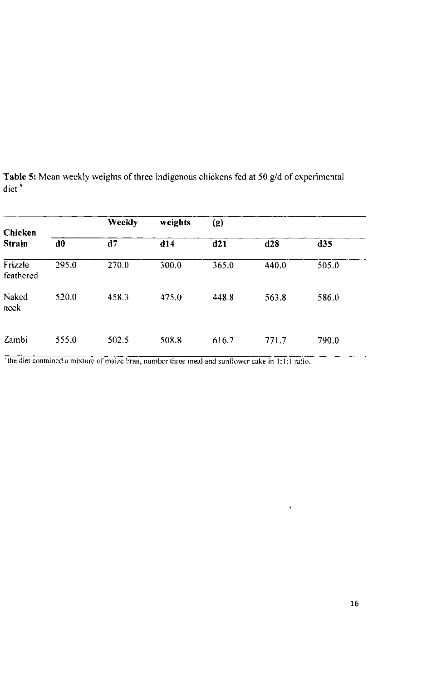| Chicken              |       | <b>Weekly</b> | weights | (g)   |       |       |  |
|----------------------|-------|---------------|---------|-------|-------|-------|--|
| <b>Strain</b>        | d0    | d7            | d14     | d21   | d28   | d35   |  |
| Frizzle<br>feathered | 295.0 | 270.0         | 300.0   | 365.0 | 440.0 | 505.0 |  |
| Naked<br>neck        | 520.0 | 458.3         | 475.0   | 448.8 | 563.8 | 586.0 |  |
| Zambi                | 555.0 | 502.5         | 508.8   | 616.7 | 771.7 | 790.0 |  |

**Table 5:** Mean weekly weights of three indigenous chickens fed at 50 g/d of experimental diet "

<sup>*I*</sup> the diet contained a mixture of maize bran, number three meal and sunflower cake in 1:1:1 ratio.

 $\bullet$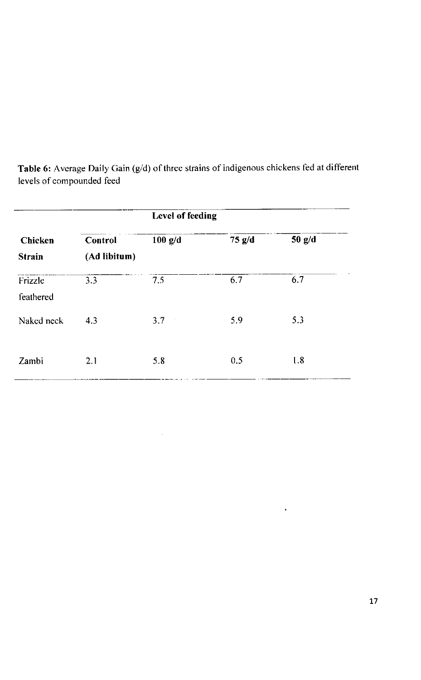|                          |                         | Level of feeding |          |          |
|--------------------------|-------------------------|------------------|----------|----------|
| Chicken<br><b>Strain</b> | Control<br>(Ad libitum) | $100$ g/d        | $75$ g/d | $50$ g/d |
| Frizzle<br>feathered     | 3.3                     | 7.5              | 6.7      | 6.7      |
| Naked neck               | 4.3                     | 3.7<br>- 1       | 5.9      | 5.3      |
| Zambi                    | 2.1                     | 5.8              | 0.5      | 1.8      |

 $\mathcal{L}$ 

**Table 6:** Average Daily Gain (g/d) of three strains of indigenous chickens fed at different levels of compounded feed

 $\hat{\mathbf{r}}$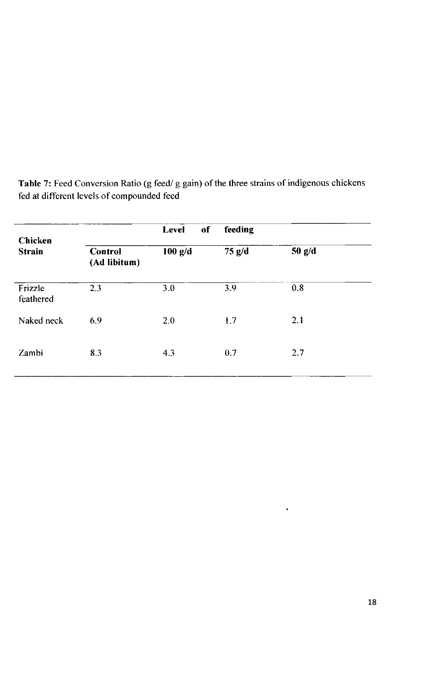|                         | of<br><b>Level</b> | feeding  |          |  |  |
|-------------------------|--------------------|----------|----------|--|--|
| Control<br>(Ad libitum) | $100$ g/d          | $75$ g/d | $50$ g/d |  |  |
| 2.3                     | 3.0                | 3.9      | 0.8      |  |  |
| 6.9                     | 2.0                | 1.7      | 2.1      |  |  |
| 8.3                     | 4.3                | 0.7      | 2.7      |  |  |
|                         |                    |          |          |  |  |

**Table 7:** Feed Conversion Ratio (g feed/ g gain) of the three strains of indigenous chickens fed at different levels of compounded feed

 $\bullet$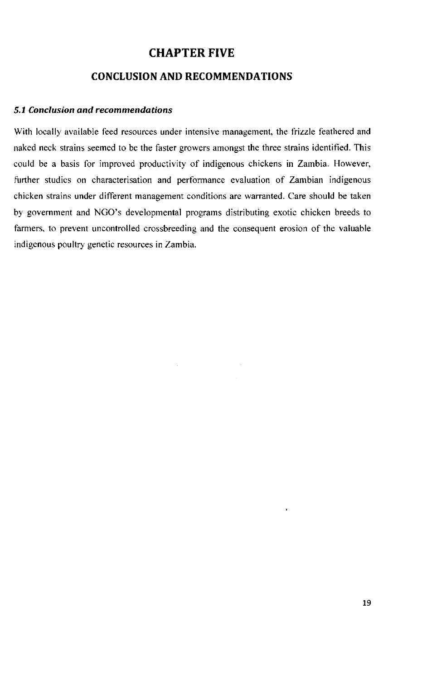# **CHAPTER FIVE**

### **CONCLUSION AND RECOMMENDATIONS**

#### *5.1 Conclusion and recommendations*

With locally available feed resources under intensive management, the frizzle feathered and naked neck strains seemed to be the faster growers amongst the three strains identified. This could be a basis for improved productivity of indigenous chickens in Zambia. However, further studies on characterisation and performance evaluation of Zambian indigenous chicken strains under different management conditions are warranted. Care should be taken by government and NGO's developmental programs distributing exotic chicken breeds to farmers, to prevent uncontrolled crossbreeding and the consequent erosion of the valuable indigenous poultry genetic resources in Zambia.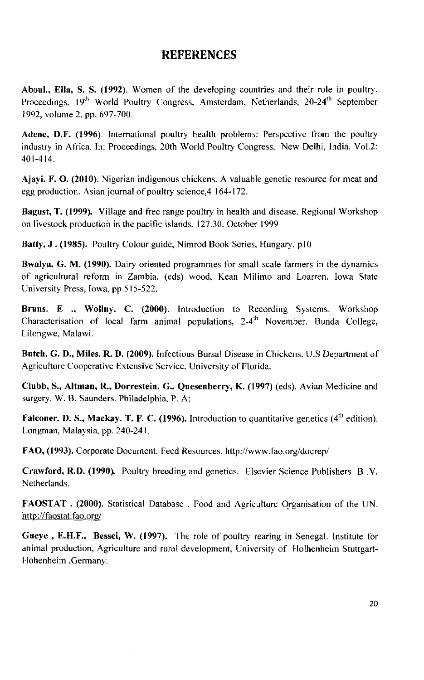# **REFERENCES**

**Aboul., Ella, S. S. (1992).** Women of the developing countries and their role in poultry. Proceedings, 19<sup>th</sup> World Poultry Congress, Amsterdam, Netherlands, 20-24<sup>th</sup> September 1992, volume 2, pp. 697-700.

**Adene, D.F. (1996).** International poultry health problems: Perspective from the poultry industry in Africa. In: Proceedings, 20th World Poultry Congress, New Delhi, India. Vol.2: 401-414.

**Ajayi. F. O. (2010).** Nigerian indigenous chickens. A valuable genetic resource for meat and egg production. Asian journal of poultry science,4 164-172.

**Bagust, T. (1999).** Village and free range poultry in health and disease. Regional Workshop on livestock production in the pacific islands. 127.30. October 1999

Batty, J. (1985). Poultry Colour guide, Nimrod Book Series, Hungary. p10

**Bwalya, G. M. (1990).** Dairy oriented programmes for small-scale farmers in the dynamics of agricultural reform in Zambia, (eds) wood, Kean Milimo and Loarren. Iowa State University Press, Iowa, pp 515-522.

**Bruns. E ., Wollny. C. (2000).** Introduction to Recording Systems. Workshop Characterisation of local farm animal populations,  $2-4<sup>th</sup>$  November. Bunda College, Lilongwe, Malawi.

**Butch. G. D., Miles. R, D. (2009).** Infectious Bursal Disease in Chickens. U.S Department of Agriculture Cooperative Extensive Service, University of Florida.

**Clubb, S., Altman, R., Dorrestein, G., Quesenberry, K. (1997)** (eds). Avian Medicine and surgery. W. B. Saunders. Philadelphia, P. A;

**Falconer. D. S., Mackay. T. F. C. (1996).** Introduction to quantitative genetics (4<sup>th</sup> edition). Longman, Malaysia, pp. 240-241.

**FAO, (1993).** Corporate Document. Feed Resources, <http://www.fao.org/docrep/>

**Crawford, R.D. (1990).** Poultry breeding and genetics. Elsevier Science Publishers B.V. Netherlands.

FAOSTAT . (2000). Statistical Database . Food and Agriculture Organisation of the UN. <http://faostat.fao.org/>

**Gueye , E.H.F., Bessei, W. (1997).** The role of poultry rearing in Senegal. Institute for animal production. Agriculture and rural development. University of Flolhenheim Stuttgart-Hohenheim ,Germany.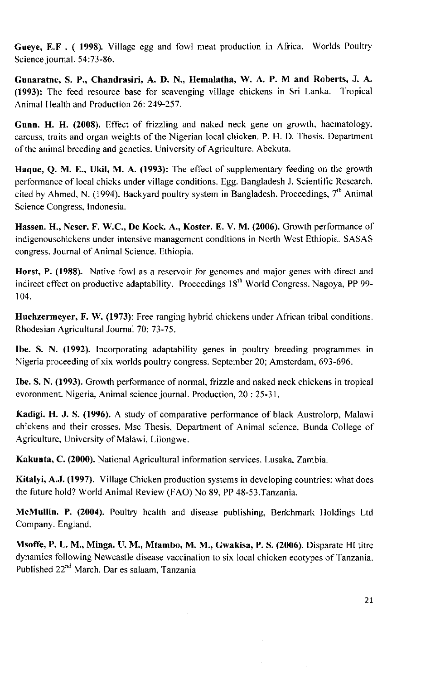**Gueye, E.F . ( 1998).** Village egg and fowl meat production in Africa. Worlds Poultry Science journal. 54:73-86.

**Gunaratne, S. P., Chandrasiri, A. D. N., Hemalatha, W. A. P. M and Roberts, J. A. (1993):** The feed resource base for scavenging village chickens in Sri Lanka. Tropical Animal Health and Production 26: 249-257.

**Gunn. H. H. (2008).** Effect of frizzling and naked neck gene on growth, haematology, carcuss, traits and organ weights of the Nigerian local chicken. P. H. D. Thesis. Department of the animal breeding and genetics. University of Agriculture. Abekuta.

**Haque, Q. M. E., Ukil, M. A. (1993):** The effect of supplementary feeding on the growth performance of local chicks under village conditions. Egg. Bangladesh J. Scientific Research, cited by Ahmed, N. (1994). Backyard poultry system in Bangladesh. Proceedings,  $7<sup>th</sup>$  Animal Science Congress, Indonesia.

**Hassen. H., Neser. F. W.C., De Kock. A., Koster. E. V. M. (2006).** Growth performance of indigenouschickens under intensive management conditions in North West Ethiopia. SASAS congress. Journal of Animal Science. Ethiopia.

**Horst, P. (1988).** Native fowl as a reservoir for genomes and major genes with direct and indirect effect on productive adaptability. Proceedings  $18<sup>th</sup>$  World Congress. Nagoya, PP 99-104.

**Huchzermeyer, F. W. (1973):** Free ranging hybrid chickens under African tribal conditions. Rhodesian Agricultural Journal 70: 73-75.

**Ibe. S. N. (1992).** Incorporating adaptability genes in poultry breeding programmes in Nigeria proceeding of xix worlds poultry congress. September 20; Amsterdam, 693-696.

**Ibe. S. N. (1993).** Growth performance of normal, frizzle and naked neck chickens in tropical evoronment. Nigeria, Animal science journal. Production, 20 : 25-31.

**Kadigi. H. J. S. (1996).** A study of comparative performance of black Austrolorp, Malawi chickens and their crosses. Msc Thesis, Department of Animal science, Bunda College of Agriculture, University of Malawi, Lilongwe.

**Kakunta, C. (2000).** National Agricultural information services. Lusaka, Zambia.

**Kitalyi, A.J. (1997).** Village Chicken production systems in developing countries: what does the future hold? World Animal Review (FAO) No 89, PP 48-53. Tanzania.

**McMullin. P. (2004).** Poultry health and disease publishing, Berichmark Holdings Ltd Company. England.

**Msoffe, P. L. M., Minga. U. M. , Mtambo, M. M. , Gwakisa, P. S. (2006).** Disparate HI titre dynamics following Newcastle disease vaccination to six local chicken ecotypes of Tanzania. Published 22<sup>nd</sup> March. Dar es salaam, Tanzania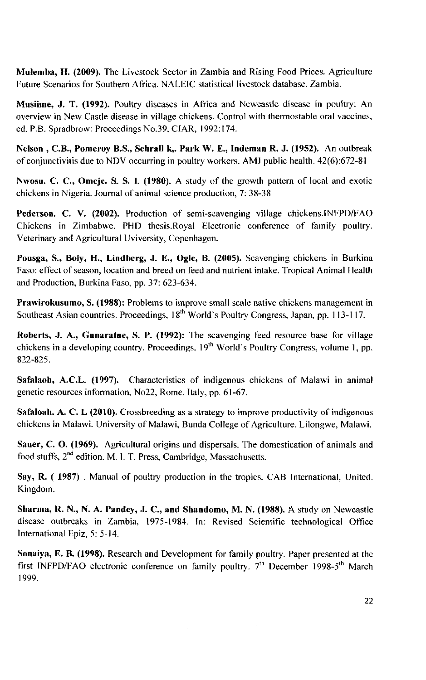**Mulemba, H. (2009).** The Livestock Sector in Zambia and Rising Food Prices. Agriculture Future Scenarios for Southern Africa. NALEIC statistical livestock database. Zambia.

**Musiime, J. T. (1992).** Poultry diseases in Africa and Newcastle disease in poultry: An overview in New Castle disease in village chickens. Control with thermostable oral vaccines, ed. P.B. Spradbrow: Proceedings No.39, CIAR, 1992:174.

**Nelson , C.B., Pomeroy B.S., Schrall k,. Park W. E., Indeman R. J. (1952).** An outbreak of conjunctivitis due to NDV occurring in poultry workers. AMJ public health. 42(6):672-81

**Nwosu. C. C , Omeje. S. S. I. (1980).** A study of the growth pattern of local and exotic chickens in Nigeria. Journal of animal science production, 7: 38-38

**Pederson. C. V. (2002).** Production of semi-scavenging village chickens.INFPD/FAO Chickens in Zimbabwe. PHD thesis.Royal Electronic conference of family poultry. Veterinary and Agricultural Uviversity, Copenhagen.

**Pousga, S., Boly, H., Lindberg, J. E., Ogle, B. (2005).** Scavenging chickens in Burkina Faso: effect of season, location and breed on feed and nutrient intake. Tropical Animal Health and Production, Burkina Faso, pp. 37: 623-634.

**Prawirokusumo, S. (1988):** Problems to improve small scale native chickens management in Southeast Asian countries. Proceedings, 18<sup>th</sup> World's Poultry Congress, Japan, pp. 113-117.

**Roberts, J. A., Gunaratne, S. P. (1992):** The scavenging feed resource base for village chickens in a developing country. Proceedings,  $19<sup>th</sup>$  World's Poultry Congress, volume 1, pp. 822-825.

**Safalaoh, A.C.L. (1997).** Characteristics of indigenous chickens of Malawi in animal genetic resources information, No22, Rome, Italy, pp. 61-67.

**Safaloah. A. C. L (2010).** Crossbreeding as a strategy to improve productivity of indigenous chickens in Malawi. University of Malawi, Bunda College of Agriculture. Lilongwe, Malawi.

**Sauer, C. O. (1969).** Agricultural origins and dispersals. The domestication of animals and food stuffs, 2<sup>nd</sup> edition. M. I. T. Press, Cambridge, Massachusetts.

Say, R. (1987) . Manual of poultry production in the tropics. CAB International, United. Kingdom.

**Sharma, R. N., N. A. Pandey, J. C , and Shandomo, M. N. (1988).** A study on Newcastle disease outbreaks in Zambia, 1975-1984. In: Revised Scientific technological Office International Epiz, 5: 5-14.

**Sonaiya, E. B. (1998).** Research and Development for family poultry. Paper presented at the first INFPD/FAO electronic conference on family poultry.  $7<sup>th</sup>$  December 1998-5<sup>th</sup> March 1999.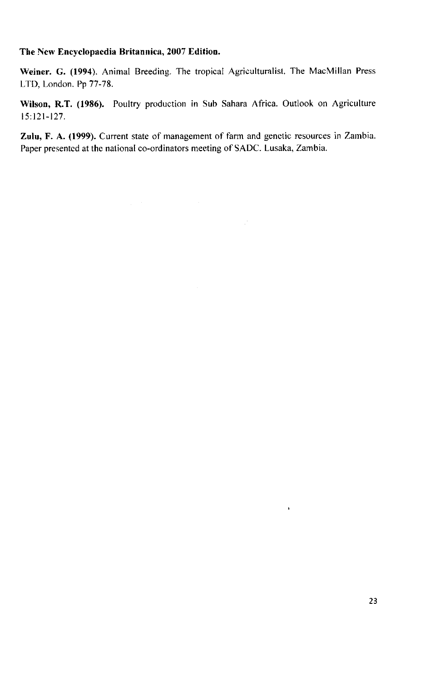#### **The New Encyclopaedia Britannica,** 2007 **Edition.**

**Weiner. G. (1994).** Animal Breeding. The tropical Agriculturalist. The MacMillan Press LTD, London. Pp 77-78.

**Wilson, R.T. (1986).** Poultry production in Sub Sahara Africa. Outlook on Agriculture 15:121-127.

**Zulu, F. A. (1999).** Current state of management of farm and genetic resources in Zambia. Paper presented at the national co-ordinators meeting of SADC. Lusaka, Zambia.

 $\mathcal{L}_{\mathcal{A}}$  and  $\mathcal{L}_{\mathcal{A}}$  are the set of the set of the set of the set of  $\mathcal{L}_{\mathcal{A}}$ 

 $\hat{\mathbf{r}}$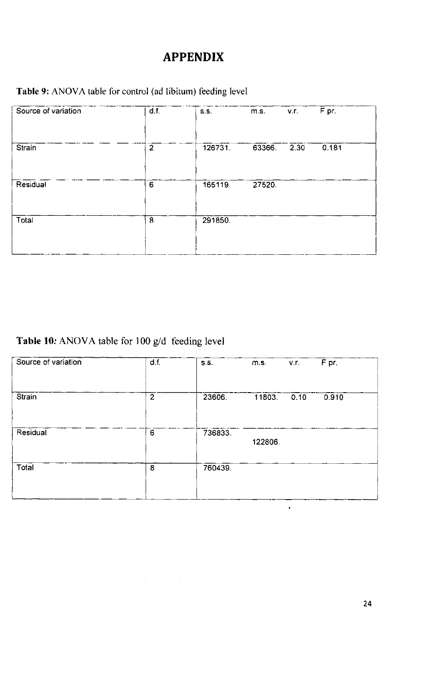# **APPENDIX**

# Table 9: ANOVA table for control (ad libitum) feeding level

| Source of variation | d.f.           | S.S.    | m.s.   | v.r. | F pr. |
|---------------------|----------------|---------|--------|------|-------|
|                     |                |         |        |      |       |
| Strain              | $\overline{2}$ | 126731. | 63366. | 2.30 | 0.181 |
|                     |                |         |        |      |       |
| Residual            | 6              | 165119. | 27520. |      |       |
|                     |                |         |        |      |       |
| Total               | 8              | 291850. |        |      |       |
|                     |                |         |        |      |       |
|                     |                |         |        |      |       |

# Table 10: ANOVA table for 100 g/d feeding level

| Source of variation | d.f.           | S.S.    | m.s.    | v.r. | $\overline{F}$ pr. |
|---------------------|----------------|---------|---------|------|--------------------|
|                     |                |         |         |      |                    |
| Strain              | $\overline{2}$ | 23606.  | 11803   | 0.10 | 0.910              |
|                     |                |         |         |      |                    |
| Residual            | $6\phantom{a}$ | 736833. | 122806. |      |                    |
|                     |                |         |         |      |                    |
| Total               | 8              | 760439. |         |      |                    |
|                     |                |         |         |      |                    |
|                     |                |         |         |      |                    |

 $\label{eq:2.1} \frac{1}{\sqrt{2\pi}}\int_{\mathbb{R}^3}\frac{1}{\sqrt{2\pi}}\int_{\mathbb{R}^3}\frac{1}{\sqrt{2\pi}}\int_{\mathbb{R}^3}\frac{1}{\sqrt{2\pi}}\int_{\mathbb{R}^3}\frac{1}{\sqrt{2\pi}}\int_{\mathbb{R}^3}\frac{1}{\sqrt{2\pi}}\int_{\mathbb{R}^3}\frac{1}{\sqrt{2\pi}}\int_{\mathbb{R}^3}\frac{1}{\sqrt{2\pi}}\int_{\mathbb{R}^3}\frac{1}{\sqrt{2\pi}}\int_{\mathbb{R}^3}\frac{1$ 

 $\star$